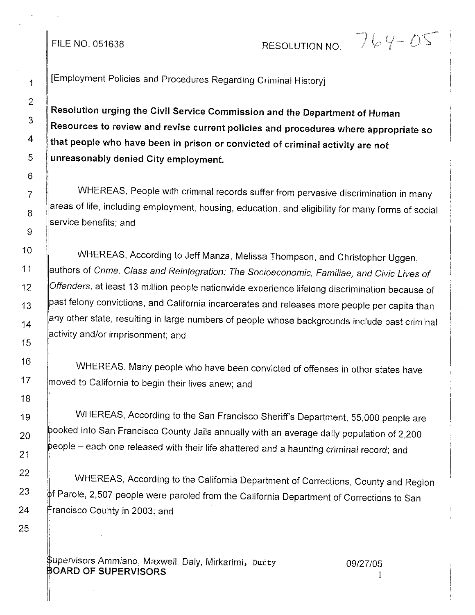## FILE NO. 051638 RESOLUTION NO.

 $764 - 05$ 

[Employment Policies and Procedures Regarding Crimina! History]

Resolution urging the Civil Service Commission and the Department of Human Resources to review and revise current policies and procedures where appropriate so that people who have been in prison or convicted of criminal activity are not unreasonably denied City employment.

WHEREAS, People with criminal records suffer from pervasive discrimination in many areas of life, including employment, housing, education, and eligibility for many forms of social service benefits; and

WHEREAS, According to Jeff Manza, Melissa Thompson, and Christopher Uggen, authors of *Crime, Class and Reintegration: The Socioeconomic, Familiae, and Civic Lives of Offenders,* at least 13 million people nationwide experience lifelong discrimination because of past felony convictions, and California incarcerates and releases more people per capita than  $\parallel$ any other state, resulting in large numbers of people whose backgrounds include past criminal activity and/or imprisonment; and

WHEREAS, Many people who have been convicted of offenses in other states have  $|$ moved to California to begin their lives anew; and

WHEREAS, According to the San Francisco Sheriff's Department, 55,000 people are ooked into San Francisco County Jails annually with an average daily population of 2,200  $\mathsf{people} -$  each one released with their life shattered and a haunting criminal record; and

WHEREAS, According to the California Department of Corrections, County and Region  $\stackrel{\text{b}}{\text{b}}$ f Parole, 2,507 people were paroled from the California Department of Corrections to San rancisco County in 2003; and

upervisors Ammiano, Maxwell, Daly, Mirkarimi, Dufty **BOARD OF SUPERVISORS** 

*09/27/05* 1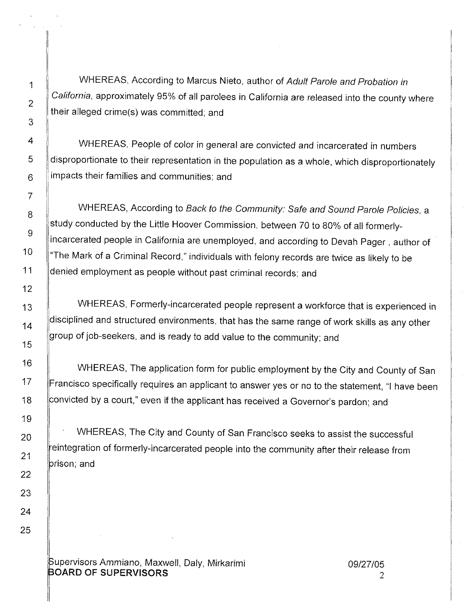WHEREAS, According to Marcus Nieto, author of *Adult Parole and Probation in California,* approximately 95% of all parolees in California are released into the county where their alleged crime(s) was committed; and

WHEREAS, People of color in general are convicted and incarcerated in numbers disproportionate to their representation in the population as a whole, which disproportionately impacts their families and communities; and

WHEREAS, According to *Back to the Community: Safe and Sound Parole Policies,* a study conducted by the Little Hoover Commission, between 70 to 80% of all formerlyincarcerated people in California are unemployed, and according to Devah Pager, author of "The Mark of a Criminal Record," individuals with felony records are twice as likely to be denied employment as people without past criminal records; and

WHEREAS, Formerly-incarcerated people represent a workforce that is experienced in disciplined and structured environments, that has the same range of work skills as any other group of job-seekers, and is ready to add value to the community; and

WHEREAS, The application form for public employment by the City and County of San Francisco specifically requires an applicant to answer yes or no to the statement, "I have been convicted by a court," even if the applicant has received a Governor's pardon; and

WHEREAS, The City and County of San Francisco seeks to assist the successful eintegration of formerly-incarcerated people into the community after their release from prison; and

upervisors Ammiano, Maxwell, Daly, Mirkarimi BOARD OF SUPERVISORS

I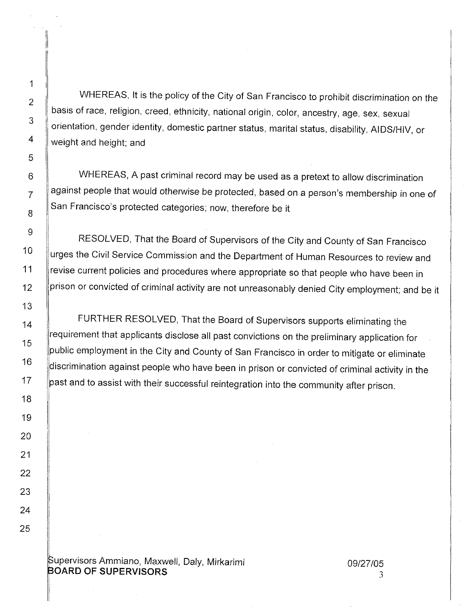11

I I

WHEREAS, It is the policy of the City of San Francisco to prohibit discrimination on the basis of race, religion, creed, ethnicity, national origin, color, ancestry, age, sex, sexual orientation, gender identity, domestic partner status, marital status, disability, AIDS/HIV, or weight and height; and

WHEREAS, A past criminal record may be used as a pretext to allow discrimination against people that would otherwise be protected, based on a person's membership in one of San Francisco's protected categories; now, therefore be it

RESOLVED, That the Board of Supervisors of the City and County of San Francisco urges the Civil Service Commission and the Department of Human Resources to review and revise current policies and procedures where appropriate so that people who have been in prison or convicted of criminal activity are not unreasonably denied City employment; and be it

FURTHER RESOLVED, That the Board of Supervisors supports eliminating the requirement that applicants disclose all past convictions on the preliminary application for public employment in the City and County of San Francisco in order to mitigate or eliminate discrimination against people who have been in prison or convicted of criminal activity in the past and to assist with their successful reintegration into the community after prison.

upervisors Ammiano, Maxwell, Daly, Mirkarimi **OARD OF** SUPERVISORS

3 *09127/05*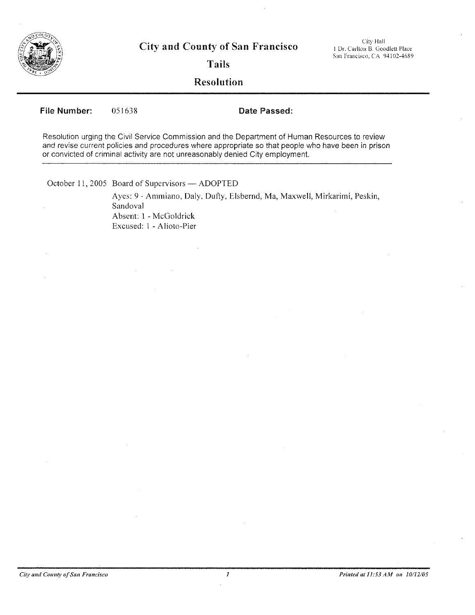

**City and County of San Francisco**

City Hall j Dr. Carlton B. Goodlett Place San Francisco, CA 94102-4689

**Tails**

**Resolution**

File Number: 051638 **Date Passed:** 

Resolution urging the Civil Service Commission and the Department of Human Resources to review and revise current policies and procedures where appropriate so that people who *have* been in prison or convicted of criminal activity are not unreasonably denied City employment

October 11, 2005 Board of Supervisors - ADOPTED

Ayes: 9 - Ammiano, Daly, Duffy, Elsbernd, Ma, Maxwell, Mirkarimi, Peskin, Sandoval Absent: I -McGoldrick Excused: 1 - Alioto-Pier